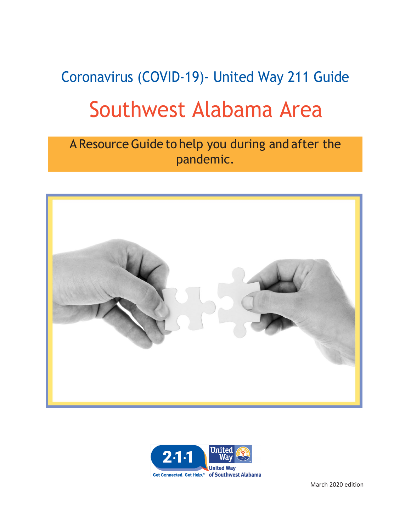# Coronavirus (COVID-19)- United Way 211 Guide Southwest Alabama Area

A Resource Guide to help you during and after the pandemic.





March 2020 edition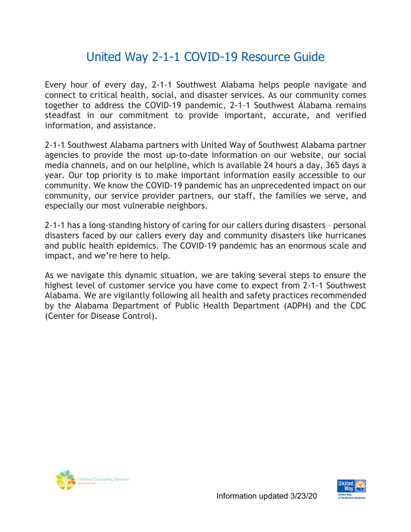# United Way 2-1-1 COVID-19 Resource Guide

Every hour of every day, 2-1-1 Southwest Alabama helps people navigate and connect to critical health, social, and disaster services. As our community comes together to address the COVID-19 pandemic, 2-1-1 Southwest Alabama remains steadfast in our commitment to provide important, accurate, and verified information, and assistance.

2-1-1 Southwest Alabama partners with United Way of Southwest Alabama partner agencies to provide the most up-to-date information on our website, our social media channels, and on our helpline, which is available 24 hours a day, 365 days a year. Our top priority is to make important information easily accessible to our community. We know the COVID-19 pandemic has an unprecedented impact on our community, our service provider partners, our staff, the families we serve, and especially our most vulnerable neighbors.

2-1-1 has a long-standing history of caring for our callers during disasters – personal disasters faced by our callers every day and community disasters like hurricanes and public health epidemics. The COVID-19 pandemic has an enormous scale and impact, and we're here to help.

As we navigate this dynamic situation, we are taking several steps to ensure the highest level of customer service you have come to expect from 2-1-1 Southwest Alabama. We are vigilantly following all health and safety practices recommended by the Alabama Department of Public Health Department (ADPH) and the CDC (Center for Disease Control).



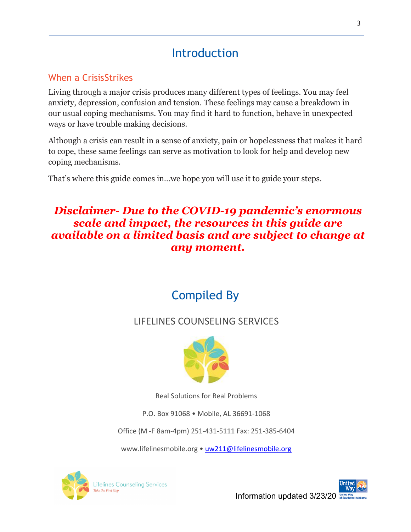# Introduction

### When a CrisisStrikes

Living through a major crisis produces many different types of feelings. You may feel anxiety, depression, confusion and tension. These feelings may cause a breakdown in our usual coping mechanisms. You may find it hard to function, behave in unexpected ways or have trouble making decisions.

Although a crisis can result in a sense of anxiety, pain or hopelessness that makes it hard to cope, these same feelings can serve as motivation to look for help and develop new coping mechanisms.

That's where this guide comes in…we hope you will use it to guide your steps.

### *Disclaimer- Due to the COVID-19 pandemic's enormous scale and impact, the resources in this guide are available on a limited basis and are subject to change at any moment.*

# Compiled By

### LIFELINES COUNSELING SERVICES



Real Solutions for Real Problems

P.O. Box 91068 • Mobile, AL 36691-1068

Office (M -F 8am-4pm) 251-431-5111 Fax: 251-385-6404

www.lifelinesmobile.org [• uw211@lifelinesmobile.org](mailto:uw211@lifelinesmobile.org)



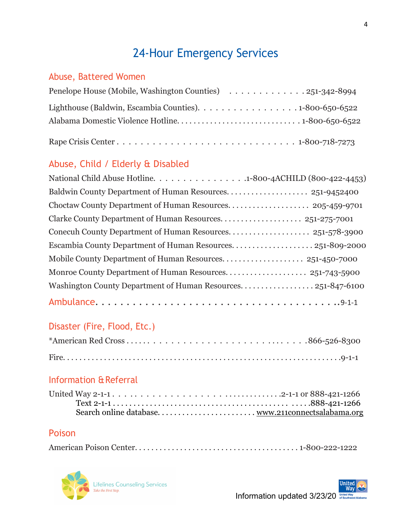# 24-Hour Emergency Services

### Abuse, Battered Women

| Lighthouse (Baldwin, Escambia Counties). 1-800-650-6522 |
|---------------------------------------------------------|
|                                                         |
|                                                         |

### Abuse, Child / Elderly & Disabled

| National Child Abuse Hotline. 1-800-4ACHILD (800-422-4453) |
|------------------------------------------------------------|
|                                                            |
|                                                            |
| Clarke County Department of Human Resources 251-275-7001   |
|                                                            |
| Escambia County Department of Human Resources251-809-2000  |
|                                                            |
|                                                            |
|                                                            |
|                                                            |

### Disaster (Fire, Flood, Etc.)

### Information & Referral

### Poison

|--|



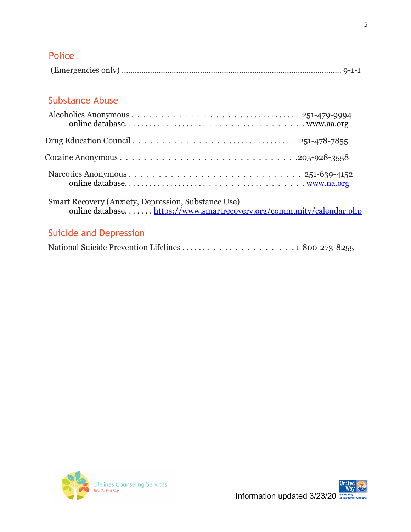### Police

|--|--|--|

### Substance Abuse

| Drug Education Council $\ldots \ldots \ldots \ldots \ldots \ldots \ldots \ldots \ldots \ldots 251-478-7855$ |
|-------------------------------------------------------------------------------------------------------------|
|                                                                                                             |
|                                                                                                             |
| Smart Recovery (Anxiety, Depression, Substance Use)                                                         |

# online database. . . . . . . <u>https://www.smartrecovery.org/community/calendar.php</u>

### Suicide and Depression

|--|--|



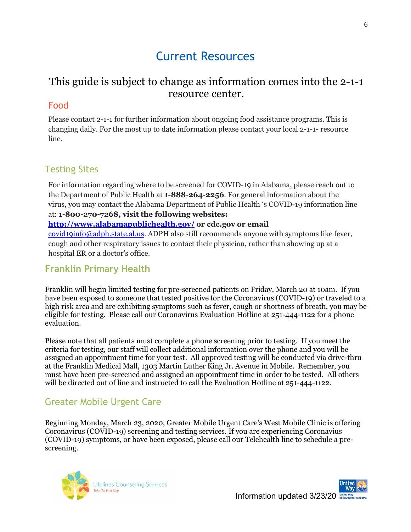# Current Resources

### This guide is subject to change as information comes into the 2-1-1 resource center.

### Food

Please contact 2-1-1 for further information about ongoing food assistance programs. This is changing daily. For the most up to date information please contact your local 2-1-1- resource line.

### Testing Sites

For information regarding where to be screened for COVID-19 in Alabama, please reach out to the Department of Public Health at **1-888-264-2256**. For general information about the virus, you may contact the Alabama Department of Public Health 's COVID-19 information line at: **1-800-270-7268, visit the following websites:**

#### **<http://www.alabamapublichealth.gov/> or cdc.gov or email**

[covid19info@adph.state.al.us.](mailto:covid19info@adph.state.al.us) ADPH also still recommends anyone with symptoms like fever, cough and other respiratory issues to contact their physician, rather than showing up at a hospital ER or a doctor's office.

### **Franklin Primary Health**

Franklin will begin limited testing for pre-screened patients on Friday, March 20 at 10am. If you have been exposed to someone that tested positive for the Coronavirus (COVID-19) or traveled to a high risk area and are exhibiting symptoms such as fever, cough or shortness of breath, you may be eligible for testing. Please call our Coronavirus Evaluation Hotline at 251-444-1122 for a phone evaluation.

Please note that all patients must complete a phone screening prior to testing. If you meet the criteria for testing, our staff will collect additional information over the phone and you will be assigned an appointment time for your test. All approved testing will be conducted via drive-thru at the Franklin Medical Mall, 1303 Martin Luther King Jr. Avenue in Mobile. Remember, you must have been pre-screened and assigned an appointment time in order to be tested. All others will be directed out of line and instructed to call the Evaluation Hotline at 251-444-1122.

### Greater Mobile Urgent Care

Beginning Monday, March 23, 2020, Greater Mobile Urgent Care's West Mobile Clinic is offering Coronavirus (COVID-19) screening and testing services. If you are experiencing Coronavius (COVID-19) symptoms, or have been exposed, please call our Telehealth line to schedule a prescreening.

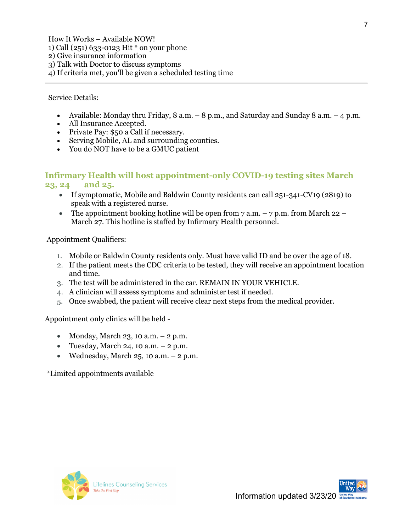How It Works – Available NOW! 1) Call (251) 633-0123 Hit \* on your phone 2) Give insurance information 3) Talk with Doctor to discuss symptoms 4) If criteria met, you'll be given a scheduled testing time

Service Details:

- Available: Monday thru Friday,  $8$  a.m.  $-8$  p.m., and Saturday and Sunday  $8$  a.m.  $-4$  p.m.
- All Insurance Accepted.
- Private Pay: \$50 a Call if necessary.
- Serving Mobile, AL and surrounding counties.
- You do NOT have to be a GMUC patient

#### **Infirmary Health will host appointment-only COVID-19 testing sites March 23, 24 and 25.**

- If symptomatic, Mobile and Baldwin County residents can call 251-341-CV19 (2819) to speak with a registered nurse.
- The appointment booking hotline will be open from  $7 a.m. -7 p.m.$  from March 22 March 27. This hotline is staffed by Infirmary Health personnel.

Appointment Qualifiers:

- 1. Mobile or Baldwin County residents only. Must have valid ID and be over the age of 18.
- 2. If the patient meets the CDC criteria to be tested, they will receive an appointment location and time.
- 3. The test will be administered in the car. REMAIN IN YOUR VEHICLE.
- 4. A clinician will assess symptoms and administer test if needed.
- 5. Once swabbed, the patient will receive clear next steps from the medical provider.

Appointment only clinics will be held -

- Monday, March 23, 10 a.m.  $-2$  p.m.
- Tuesday, March 24, 10 a.m.  $-2$  p.m.
- Wednesday, March  $25$ , 10 a.m.  $-2$  p.m.

\*Limited appointments available

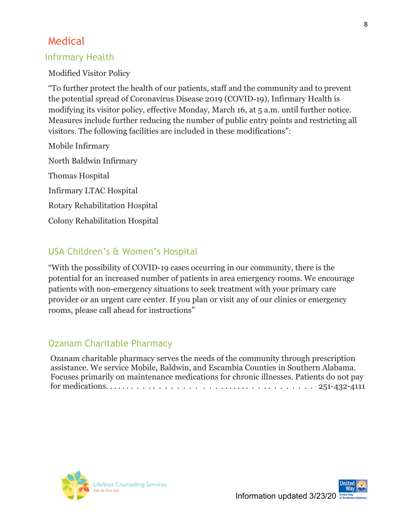### Medical

### Infirmary Health

Modified Visitor Policy

"To further protect the health of our patients, staff and the community and to prevent the potential spread of Coronavirus Disease 2019 (COVID-19), Infirmary Health is modifying its visitor policy, effective Monday, March 16, at 5 a.m. until further notice. Measures include further reducing the number of public entry points and restricting all visitors. The following facilities are included in these modifications":

Mobile Infirmary North Baldwin Infirmary Thomas Hospital Infirmary LTAC Hospital Rotary Rehabilitation Hospital Colony Rehabilitation Hospital

### USA Children's & Women's Hospital

"With the possibility of COVID-19 cases occurring in our community, there is the potential for an increased number of patients in area emergency rooms. We encourage patients with non-emergency situations to seek treatment with your primary care provider or an urgent care center. If you plan or visit any of our clinics or emergency rooms, please call ahead for instructions"

### Ozanam Charitable Pharmacy

Ozanam charitable pharmacy serves the needs of the community through prescription assistance. We service Mobile, Baldwin, and Escambia Counties in Southern Alabama. Focuses primarily on maintenance medications for chronic illnesses. Patients do not pay for medications. . . . . . . . . . . . . . . . . . . . . . . . . . . . . . . . . . . . . . . 251-432-4111



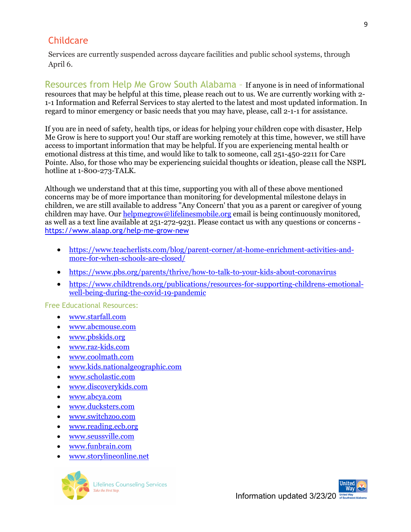### **Childcare**

Services are currently suspended across daycare facilities and public school systems, through April 6.

Resources from Help Me Grow South Alabama – If anyone is in need of informational resources that may be helpful at this time, please reach out to us. We are currently working with 2- 1-1 Information and Referral Services to stay alerted to the latest and most updated information. In regard to minor emergency or basic needs that you may have, please, call 2-1-1 for assistance.

If you are in need of safety, health tips, or ideas for helping your children cope with disaster, Help Me Grow is here to support you! Our staff are working remotely at this time, however, we still have access to important information that may be helpful. If you are experiencing mental health or emotional distress at this time, and would like to talk to someone, call 251-450-2211 for Care Pointe. Also, for those who may be experiencing suicidal thoughts or ideation, please call the NSPL hotline at 1-800-273-TALK.

Although we understand that at this time, supporting you with all of these above mentioned concerns may be of more importance than monitoring for developmental milestone delays in children, we are still available to address "Any Concern' that you as a parent or caregiver of young children may have. Our [helpmegrow@lifelinesmobile.org](mailto:helpmegrow@lifelinesmobile.org) email is being continuously monitored, as well as a text line available at 251-272-9231. Please contact us with any questions or concerns <https://www.alaap.org/help-me-grow-new>

- [https://www.teacherlists.com/blog/parent-corner/at-home-enrichment-activities-and](https://www.teacherlists.com/blog/parent-corner/at-home-enrichment-activities-and-more-for-when-schools-are-closed/)[more-for-when-schools-are-closed/](https://www.teacherlists.com/blog/parent-corner/at-home-enrichment-activities-and-more-for-when-schools-are-closed/)
- <https://www.pbs.org/parents/thrive/how-to-talk-to-your-kids-about-coronavirus>
- [https://www.childtrends.org/publications/resources-for-supporting-childrens-emotional](https://www.childtrends.org/publications/resources-for-supporting-childrens-emotional-well-being-during-the-covid-19-pandemic)[well-being-during-the-covid-19-pandemic](https://www.childtrends.org/publications/resources-for-supporting-childrens-emotional-well-being-during-the-covid-19-pandemic)

Free Educational Resources:

- [www.starfall.com](http://www.starfall.com/)
- [www.abcmouse.com](http://www.abcmouse.com/)
- [www.pbskids.org](http://www.pbskids.org/)
- [www.raz-kids.com](http://www.raz-kids.com/)
- [www.coolmath.com](http://www.coolmath.com/)
- [www.kids.nationalgeographic.com](http://www.kids.nationalgeographic.com/)
- [www.scholastic.com](http://www.scholastic.com/)
- [www.discoverykids.com](http://www.discoverykids.com/)
- [www.abcya.com](http://www.abcya.com/)
- [www.ducksters.com](http://www.ducksters.com/)
- [www.switchzoo.com](http://www.switchzoo.com/)
- [www.reading.ecb.org](http://www.reading.ecb.org/)
- [www.seussville.com](http://www.seussville.com/)
- [www.funbrain.com](http://www.funbrain.com/)
- [www.storylineonline.net](http://www.storylineonline.net/)



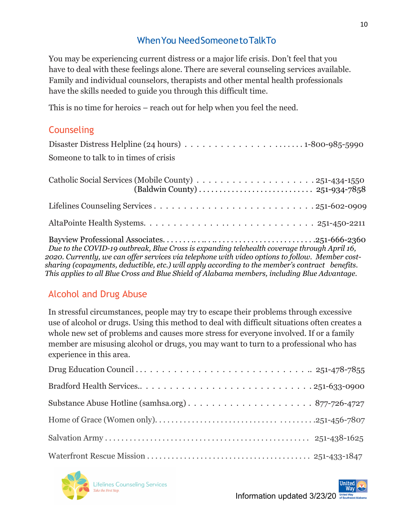### WhenYou NeedSomeonetoTalkTo

You may be experiencing current distress or a major life crisis. Don't feel that you have to deal with these feelings alone. There are several counseling services available. Family and individual counselors, therapists and other mental health professionals have the skills needed to guide you through this difficult time.

This is no time for heroics – reach out for help when you feel the need.

### **Counseling**

| Someone to talk to in times of crisis                                                                                                                                                                                                                                                                                                                                                             |
|---------------------------------------------------------------------------------------------------------------------------------------------------------------------------------------------------------------------------------------------------------------------------------------------------------------------------------------------------------------------------------------------------|
|                                                                                                                                                                                                                                                                                                                                                                                                   |
|                                                                                                                                                                                                                                                                                                                                                                                                   |
|                                                                                                                                                                                                                                                                                                                                                                                                   |
| Due to the COVID-19 outbreak, Blue Cross is expanding telehealth coverage through April 16,<br>2020. Currently, we can offer services via telephone with video options to follow.  Member cost-<br>sharing (copayments, deductible, etc.) will apply according to the member's contract benefits.<br>This applies to all Blue Cross and Blue Shield of Alabama members, including Blue Advantage. |

### Alcohol and Drug Abuse

In stressful circumstances, people may try to escape their problems through excessive use of alcohol or drugs. Using this method to deal with difficult situations often creates a whole new set of problems and causes more stress for everyone involved. If or a family member are misusing alcohol or drugs, you may want to turn to a professional who has experience in this area.

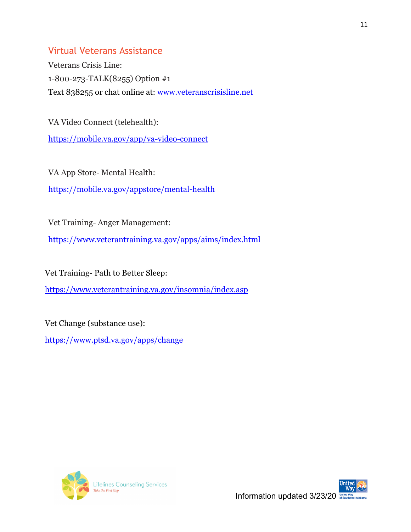### Virtual Veterans Assistance

Veterans Crisis Line: 1-800-273-TALK(8255) Option #1 Text 838255 or chat online at: [www.veteranscrisisline.net](http://www.veteranscrisisline.net/)

VA Video Connect (telehealth):

<https://mobile.va.gov/app/va-video-connect>

VA App Store- Mental Health: <https://mobile.va.gov/appstore/mental-health>

Vet Training- Anger Management:

<https://www.veterantraining.va.gov/apps/aims/index.html>

Vet Training- Path to Better Sleep:

<https://www.veterantraining.va.gov/insomnia/index.asp>

Vet Change (substance use):

<https://www.ptsd.va.gov/apps/change>



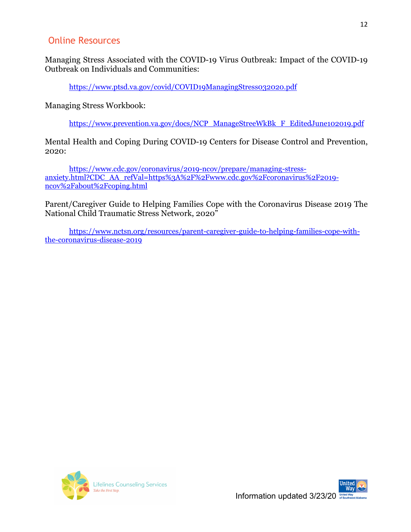### Online Resources

Managing Stress Associated with the COVID-19 Virus Outbreak: Impact of the COVID-19 Outbreak on Individuals and Communities:

<https://www.ptsd.va.gov/covid/COVID19ManagingStress032020.pdf>

Managing Stress Workbook:

[https://www.prevention.va.gov/docs/NCP\\_ManageStreeWkBk\\_F\\_EditedJune102019.pdf](https://www.prevention.va.gov/docs/NCP_ManageStreeWkBk_F_EditedJune102019.pdf)

Mental Health and Coping During COVID-19 Centers for Disease Control and Prevention, 2020:

[https://www.cdc.gov/coronavirus/2019-ncov/prepare/managing-stress](https://www.cdc.gov/coronavirus/2019-ncov/prepare/managing-stress-anxiety.html?CDC_AA_refVal=https%3A%2F%2Fwww.cdc.gov%2Fcoronavirus%2F2019-ncov%2Fabout%2Fcoping.html)[anxiety.html?CDC\\_AA\\_refVal=https%3A%2F%2Fwww.cdc.gov%2Fcoronavirus%2F2019](https://www.cdc.gov/coronavirus/2019-ncov/prepare/managing-stress-anxiety.html?CDC_AA_refVal=https%3A%2F%2Fwww.cdc.gov%2Fcoronavirus%2F2019-ncov%2Fabout%2Fcoping.html) [ncov%2Fabout%2Fcoping.html](https://www.cdc.gov/coronavirus/2019-ncov/prepare/managing-stress-anxiety.html?CDC_AA_refVal=https%3A%2F%2Fwww.cdc.gov%2Fcoronavirus%2F2019-ncov%2Fabout%2Fcoping.html)

Parent/Caregiver Guide to Helping Families Cope with the Coronavirus Disease 2019 The National Child Traumatic Stress Network, 2020"

[https://www.nctsn.org/resources/parent-caregiver-guide-to-helping-families-cope-with](https://www.nctsn.org/resources/parent-caregiver-guide-to-helping-families-cope-with-the-coronavirus-disease-2019)[the-coronavirus-disease-2019](https://www.nctsn.org/resources/parent-caregiver-guide-to-helping-families-cope-with-the-coronavirus-disease-2019)



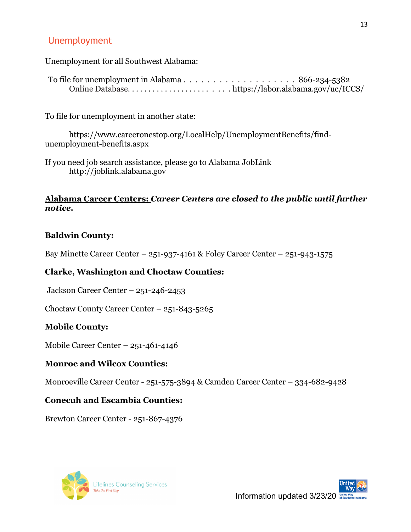### Unemployment

Unemployment for all Southwest Alabama:

| Online Databasehttps://labor.alabama.gov/uc/ICCS/ |  |
|---------------------------------------------------|--|

To file for unemployment in another state:

https://www.careeronestop.org/LocalHelp/UnemploymentBenefits/findunemployment-benefits.aspx

If you need job search assistance, please go to Alabama JobLink [http://joblink.alabama.gov](http://joblink.alabama.gov/)

#### **Alabama Career Centers:** *Career Centers are closed to the public until further notice.*

#### **Baldwin County:**

Bay Minette Career Center – 251-937-4161 & Foley Career Center – 251-943-1575

#### **Clarke, Washington and Choctaw Counties:**

Jackson Career Center – 251-246-2453

Choctaw County Career Center – 251-843-5265

#### **Mobile County:**

Mobile Career Center – 251-461-4146

#### **Monroe and Wilcox Counties:**

Monroeville Career Center - 251-575-3894 & Camden Career Center – 334-682-9428

#### **Conecuh and Escambia Counties:**

Brewton Career Center - 251-867-4376



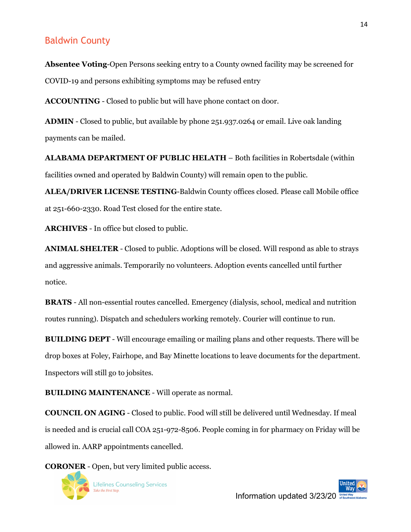### Baldwin County

**Absentee Voting**-Open Persons seeking entry to a County owned facility may be screened for COVID-19 and persons exhibiting symptoms may be refused entry

**ACCOUNTING** - Closed to public but will have phone contact on door.

**ADMIN** - Closed to public, but available by phone 251.937.0264 or email. Live oak landing payments can be mailed.

**ALABAMA DEPARTMENT OF PUBLIC HELATH** – Both facilities in Robertsdale (within facilities owned and operated by Baldwin County) will remain open to the public.

**ALEA/DRIVER LICENSE TESTING**-Baldwin County offices closed. Please call Mobile office at 251-660-2330. Road Test closed for the entire state.

**ARCHIVES** - In office but closed to public.

**ANIMAL SHELTER** - Closed to public. Adoptions will be closed. Will respond as able to strays and aggressive animals. Temporarily no volunteers. Adoption events cancelled until further notice.

**BRATS** - All non-essential routes cancelled. Emergency (dialysis, school, medical and nutrition routes running). Dispatch and schedulers working remotely. Courier will continue to run.

**BUILDING DEPT** - Will encourage emailing or mailing plans and other requests. There will be drop boxes at Foley, Fairhope, and Bay Minette locations to leave documents for the department. Inspectors will still go to jobsites.

**BUILDING MAINTENANCE** - Will operate as normal.

**COUNCIL ON AGING** - Closed to public. Food will still be delivered until Wednesday. If meal is needed and is crucial call COA 251-972-8506. People coming in for pharmacy on Friday will be allowed in. AARP appointments cancelled.

**CORONER** - Open, but very limited public access.

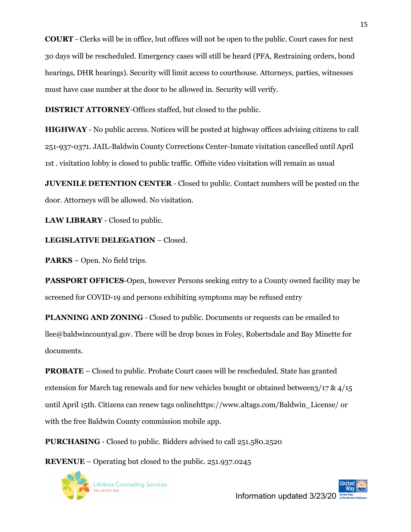**COURT** - Clerks will be in office, but offices will not be open to the public. Court cases for next 30 days will be rescheduled. Emergency cases will still be heard (PFA, Restraining orders, bond hearings, DHR hearings). Security will limit access to courthouse. Attorneys, parties, witnesses must have case number at the door to be allowed in. Security will verify.

**DISTRICT ATTORNEY**-Offices staffed, but closed to the public.

**HIGHWAY** - No public access. Notices will be posted at highway offices advising citizens to call 251-937-0371. JAIL-Baldwin County Corrections Center-Inmate visitation cancelled until April 1st . visitation lobby is closed to public traffic. Offsite video visitation will remain as usual

**JUVENILE DETENTION CENTER** - Closed to public. Contact numbers will be posted on the door. Attorneys will be allowed. No visitation.

**LAW LIBRARY** - Closed to public.

**LEGISLATIVE DELEGATION** – Closed.

**PARKS** – Open. No field trips.

**PASSPORT OFFICES**-Open, however Persons seeking entry to a County owned facility may be screened for COVID-19 and persons exhibiting symptoms may be refused entry

**PLANNING AND ZONING** - Closed to public. Documents or requests can be emailed to llee@baldwincountyal.gov. There will be drop boxes in Foley, Robertsdale and Bay Minette for documents.

**PROBATE** – Closed to public. Probate Court cases will be rescheduled. State has granted extension for March tag renewals and for new vehicles bought or obtained between $3/17$  &  $4/15$ until April 15th. Citizens can renew tags onlinehttps://www.altags.com/Baldwin\_License/ or with the free Baldwin County commission mobile app.

**PURCHASING** - Closed to public. Bidders advised to call 251.580.2520

**REVENUE** – Operating but closed to the public. 251.937.0245

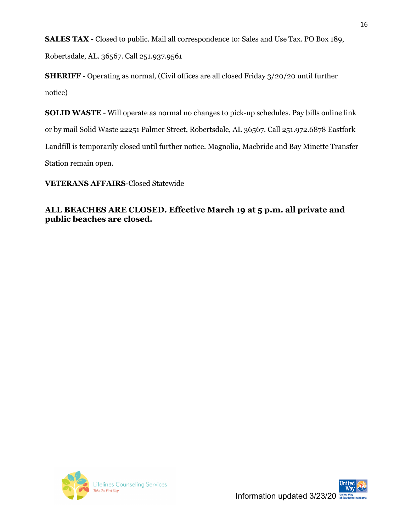**SALES TAX** - Closed to public. Mail all correspondence to: Sales and Use Tax. PO Box 189,

Robertsdale, AL. 36567. Call 251.937.9561

**SHERIFF** - Operating as normal, (Civil offices are all closed Friday 3/20/20 until further notice)

**SOLID WASTE** - Will operate as normal no changes to pick-up schedules. Pay bills online link or by mail Solid Waste 22251 Palmer Street, Robertsdale, AL 36567. Call 251.972.6878 Eastfork Landfill is temporarily closed until further notice. Magnolia, Macbride and Bay Minette Transfer Station remain open.

**VETERANS AFFAIRS**-Closed Statewide

#### **ALL BEACHES ARE CLOSED. Effective March 19 at 5 p.m. all private and public beaches are closed.**



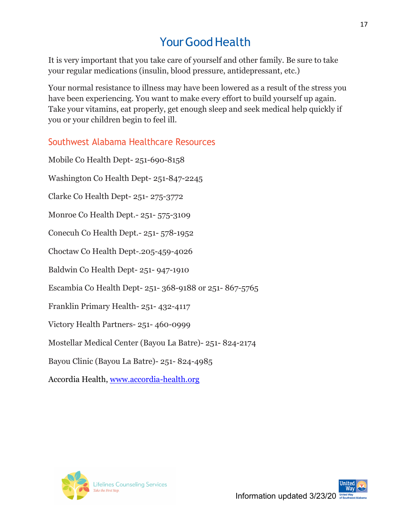# Your Good Health

It is very important that you take care of yourself and other family. Be sure to take your regular medications (insulin, blood pressure, antidepressant, etc.)

Your normal resistance to illness may have been lowered as a result of the stress you have been experiencing. You want to make every effort to build yourself up again. Take your vitamins, eat properly, get enough sleep and seek medical help quickly if you or your children begin to feel ill.

### Southwest Alabama Healthcare Resources

Mobile Co Health Dept- 251-690-8158 Washington Co Health Dept- 251-847-2245 Clarke Co Health Dept- 251- 275-3772 Monroe Co Health Dept.- 251- 575-3109 Conecuh Co Health Dept.- 251- 578-1952 Choctaw Co Health Dept-.205-459-4026 Baldwin Co Health Dept- 251- 947-1910 Escambia Co Health Dept- 251- 368-9188 or 251- 867-5765 Franklin Primary Health- 251- 432-4117 Victory Health Partners- 251- 460-0999 Mostellar Medical Center (Bayou La Batre)- 251- 824-2174 Bayou Clinic (Bayou La Batre)- 251- 824-4985 Accordia Health, [www.accordia-health.org](http://www.accordia-health.org/)

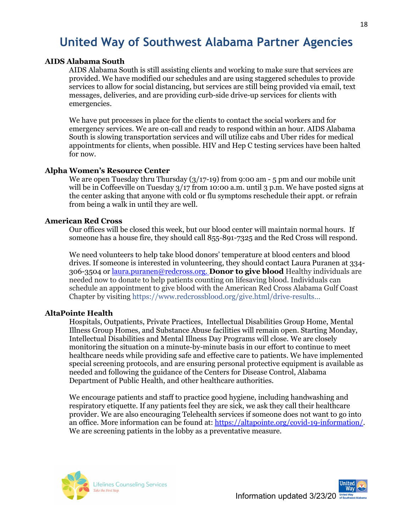# **United Way of Southwest Alabama Partner Agencies**

#### **AIDS Alabama South**

AIDS Alabama South is still assisting clients and working to make sure that services are provided. We have modified our schedules and are using staggered schedules to provide services to allow for social distancing, but services are still being provided via email, text messages, deliveries, and are providing curb-side drive-up services for clients with emergencies.

We have put processes in place for the clients to contact the social workers and for emergency services. We are on-call and ready to respond within an hour. AIDS Alabama South is slowing transportation services and will utilize cabs and Uber rides for medical appointments for clients, when possible. HIV and Hep C testing services have been halted for now.

#### **Alpha Women's Resource Center**

We are open Tuesday thru Thursday (3/17-19) from 9:00 am - 5 pm and our mobile unit will be in Coffeeville on Tuesday 3/17 from 10:00 a.m. until 3 p.m. We have posted signs at the center asking that anyone with cold or flu symptoms reschedule their appt. or refrain from being a walk in until they are well.

#### **American Red Cross**

Our offices will be closed this week, but our blood center will maintain normal hours. If someone has a house fire, they should call 855-891-7325 and the Red Cross will respond.

We need volunteers to help take blood donors' temperature at blood centers and blood drives. If someone is interested in volunteering, they should contact Laura Puranen at 334- 306-3504 o[r laura.puranen@redcross.org.](mailto:laura.puranen@redcross.org) **Donor to give blood** Healthy individuals are needed now to donate to help patients counting on lifesaving blood. Individuals can schedule an appointment to give blood with the American Red Cross Alabama Gulf Coast Chapter by visiting [https://www.redcrossblood.org/give.html/drive-results…](https://www.redcrossblood.org/give.html/drive-results?order=DATE&range=10&zipSponsor=36604&fbclid=IwAR099QVbS5uY456aRrdAeM8YUlA6F0uYkjXR25UkxFyWAV19NhMy2gLR1TA)

#### **AltaPointe Health**

Hospitals, Outpatients, Private Practices, Intellectual Disabilities Group Home, Mental Illness Group Homes, and Substance Abuse facilities will remain open. Starting Monday, Intellectual Disabilities and Mental Illness Day Programs will close. We are closely monitoring the situation on a minute-by-minute basis in our effort to continue to meet healthcare needs while providing safe and effective care to patients. We have implemented special screening protocols, and are ensuring personal protective equipment is available as needed and following the guidance of the Centers for Disease Control, Alabama Department of Public Health, and other healthcare authorities.

We encourage patients and staff to practice good hygiene, including handwashing and respiratory etiquette. If any patients feel they are sick, we ask they call their healthcare provider. We are also encouraging Telehealth services if someone does not want to go into an office. More information can be found at: [https://altapointe.org/covid-19-information/.](https://altapointe.org/covid-19-information/) We are screening patients in the lobby as a preventative measure.



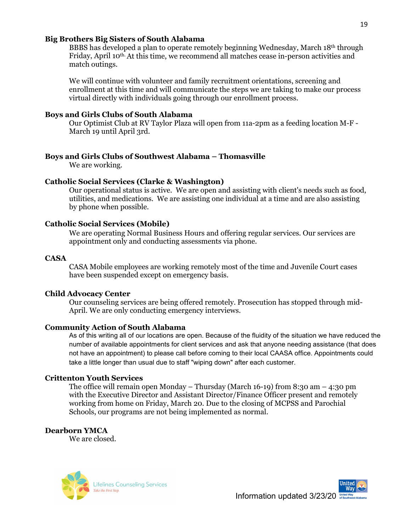#### **Big Brothers Big Sisters of South Alabama**

BBBS has developed a plan to operate remotely beginning Wednesday, March 18th through Friday, April 10<sup>th</sup> At this time, we recommend all matches cease in-person activities and match outings.

We will continue with volunteer and family recruitment orientations, screening and enrollment at this time and will communicate the steps we are taking to make our process virtual directly with individuals going through our enrollment process.

#### **Boys and Girls Clubs of South Alabama**

Our Optimist Club at RV Taylor Plaza will open from 11a-2pm as a feeding location M-F - March 19 until April 3rd.

#### **Boys and Girls Clubs of Southwest Alabama – Thomasville**

We are working.

#### **Catholic Social Services (Clarke & Washington)**

Our operational status is active. We are open and assisting with client's needs such as food, utilities, and medications. We are assisting one individual at a time and are also assisting by phone when possible.

#### **Catholic Social Services (Mobile)**

We are operating Normal Business Hours and offering regular services. Our services are appointment only and conducting assessments via phone.

#### **CASA**

CASA Mobile employees are working remotely most of the time and Juvenile Court cases have been suspended except on emergency basis.

#### **Child Advocacy Center**

Our counseling services are being offered remotely. Prosecution has stopped through mid-April. We are only conducting emergency interviews.

#### **Community Action of South Alabama**

As of this writing all of our locations are open. Because of the fluidity of the situation we have reduced the number of available appointments for client services and ask that anyone needing assistance (that does not have an appointment) to please call before coming to their local CAASA office. Appointments could take a little longer than usual due to staff "wiping down" after each customer.

#### **Crittenton Youth Services**

The office will remain open Monday – Thursday (March 16-19) from 8:30 am  $-$  4:30 pm with the Executive Director and Assistant Director/Finance Officer present and remotely working from home on Friday, March 20. Due to the closing of MCPSS and Parochial Schools, our programs are not being implemented as normal.

#### **Dearborn YMCA**

We are closed.



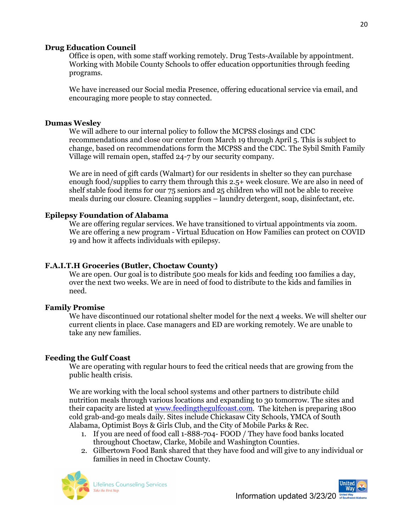#### **Drug Education Council**

Office is open, with some staff working remotely. Drug Tests-Available by appointment. Working with Mobile County Schools to offer education opportunities through feeding programs.

We have increased our Social media Presence, offering educational service via email, and encouraging more people to stay connected.

#### **Dumas Wesley**

We will adhere to our internal policy to follow the MCPSS closings and CDC recommendations and close our center from March 19 through April 5. This is subject to change, based on recommendations form the MCPSS and the CDC. The Sybil Smith Family Village will remain open, staffed 24-7 by our security company.

We are in need of gift cards (Walmart) for our residents in shelter so they can purchase enough food/supplies to carry them through this 2.5+ week closure. We are also in need of shelf stable food items for our 75 seniors and 25 children who will not be able to receive meals during our closure. Cleaning supplies – laundry detergent, soap, disinfectant, etc.

#### **Epilepsy Foundation of Alabama**

We are offering regular services. We have transitioned to virtual appointments via zoom. We are offering a new program - Virtual Education on How Families can protect on COVID 19 and how it affects individuals with epilepsy.

#### **F.A.I.T.H Groceries (Butler, Choctaw County)**

We are open. Our goal is to distribute 500 meals for kids and feeding 100 families a day, over the next two weeks. We are in need of food to distribute to the kids and families in need.

#### **Family Promise**

We have discontinued our rotational shelter model for the next 4 weeks. We will shelter our current clients in place. Case managers and ED are working remotely. We are unable to take any new families.

#### **Feeding the Gulf Coast**

We are operating with regular hours to feed the critical needs that are growing from the public health crisis.

We are working with the local school systems and other partners to distribute child nutrition meals through various locations and expanding to 30 tomorrow. The sites and their capacity are listed at [www.feedingthegulfcoast.com.](http://www.feedingthegulfcoast.com/) The kitchen is preparing 1800 cold grab-and-go meals daily. Sites include Chickasaw City Schools, YMCA of South Alabama, Optimist Boys & Girls Club, and the City of Mobile Parks & Rec.

- 1. If you are need of food call 1-888-704- FOOD / They have food banks located throughout Choctaw, Clarke, Mobile and Washington Counties.
- 2. Gilbertown Food Bank shared that they have food and will give to any individual or families in need in Choctaw County.



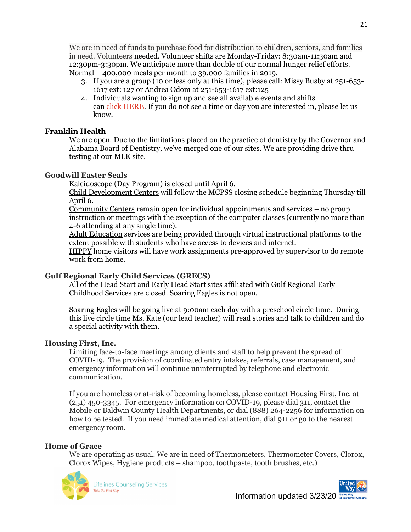We are in need of funds to purchase food for distribution to children, seniors, and families in need. Volunteers needed. Volunteer shifts are Monday-Friday: 8:30am-11:30am and 12:30pm-3:30pm. We anticipate more than double of our normal hunger relief efforts. Normal – 400,000 meals per month to 39,000 families in 2019.

- 3. If you are a group (10 or less only at this time), please call: Missy Busby at 251-653- 1617 ext: 127 or Andrea Odom at 251-653-1617 ext:125
- 4. Individuals wanting to sign up and see all available events and shifts can click [HERE.](https://www.cervistech.com/acts/module/safelink.php?orig_type=email&org_id=0048&tc=5e724dcb88803&orig_url=https://www.cervistech.com/acts/console.php?console_id=0048&console_type=event&cat_id=35&ht=1) If you do not see a time or day you are interested in, please let us know.

#### **Franklin Health**

We are open. Due to the limitations placed on the practice of dentistry by the Governor and Alabama Board of Dentistry, we've merged one of our sites. We are providing drive thru testing at our MLK site.

#### **Goodwill Easter Seals**

Kaleidoscope (Day Program) is closed until April 6.

Child Development Centers will follow the MCPSS closing schedule beginning Thursday till April 6.

Community Centers remain open for individual appointments and services – no group instruction or meetings with the exception of the computer classes (currently no more than 4-6 attending at any single time).

Adult Education services are being provided through virtual instructional platforms to the extent possible with students who have access to devices and internet.

HIPPY home visitors will have work assignments pre-approved by supervisor to do remote work from home.

#### **Gulf Regional Early Child Services (GRECS)**

All of the Head Start and Early Head Start sites affiliated with Gulf Regional Early Childhood Services are closed. Soaring Eagles is not open.

Soaring Eagles will be going live at 9:00am each day with a preschool circle time. During this live circle time Ms. Kate (our lead teacher) will read stories and talk to children and do a special activity with them.

#### **Housing First, Inc.**

Limiting face-to-face meetings among clients and staff to help prevent the spread of COVID-19. The provision of coordinated entry intakes, referrals, case management, and emergency information will continue uninterrupted by telephone and electronic communication.

If you are homeless or at-risk of becoming homeless, please contact Housing First, Inc. at (251) 450-3345. For emergency information on COVID-19, please dial 311, contact the Mobile or Baldwin County Health Departments, or dial (888) 264-2256 for information on how to be tested. If you need immediate medical attention, dial 911 or go to the nearest emergency room.

#### **Home of Grace**

We are operating as usual. We are in need of Thermometers, Thermometer Covers, Clorox, Clorox Wipes, Hygiene products – shampoo, toothpaste, tooth brushes, etc.)



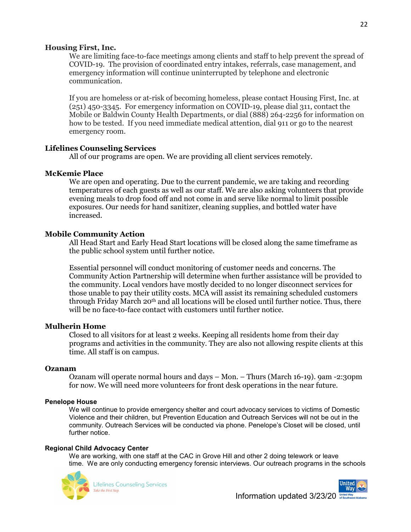#### **Housing First, Inc.**

We are limiting face-to-face meetings among clients and staff to help prevent the spread of COVID-19. The provision of coordinated entry intakes, referrals, case management, and emergency information will continue uninterrupted by telephone and electronic communication.

If you are homeless or at-risk of becoming homeless, please contact Housing First, Inc. at (251) 450-3345. For emergency information on COVID-19, please dial 311, contact the Mobile or Baldwin County Health Departments, or dial (888) 264-2256 for information on how to be tested. If you need immediate medical attention, dial 911 or go to the nearest emergency room.

#### **Lifelines Counseling Services**

All of our programs are open. We are providing all client services remotely.

#### **McKemie Place**

We are open and operating. Due to the current pandemic, we are taking and recording temperatures of each guests as well as our staff. We are also asking volunteers that provide evening meals to drop food off and not come in and serve like normal to limit possible exposures. Our needs for hand sanitizer, cleaning supplies, and bottled water have increased.

#### **Mobile Community Action**

All Head Start and Early Head Start locations will be closed along the same timeframe as the public school system until further notice.

Essential personnel will conduct monitoring of customer needs and concerns. The Community Action Partnership will determine when further assistance will be provided to the community. Local vendors have mostly decided to no longer disconnect services for those unable to pay their utility costs. MCA will assist its remaining scheduled customers through Friday March 20<sup>th</sup> and all locations will be closed until further notice. Thus, there will be no face-to-face contact with customers until further notice.

#### **Mulherin Home**

Closed to all visitors for at least 2 weeks. Keeping all residents home from their day programs and activities in the community. They are also not allowing respite clients at this time. All staff is on campus.

#### **Ozanam**

Ozanam will operate normal hours and days – Mon. – Thurs (March 16-19). 9am -2:30pm for now. We will need more volunteers for front desk operations in the near future.

#### **Penelope House**

We will continue to provide emergency shelter and court advocacy services to victims of Domestic Violence and their children, but Prevention Education and Outreach Services will not be out in the community. Outreach Services will be conducted via phone. Penelope's Closet will be closed, until further notice.

#### **Regional Child Advocacy Center**

We are working, with one staff at the CAC in Grove Hill and other 2 doing telework or leave time. We are only conducting emergency forensic interviews. Our outreach programs in the schools



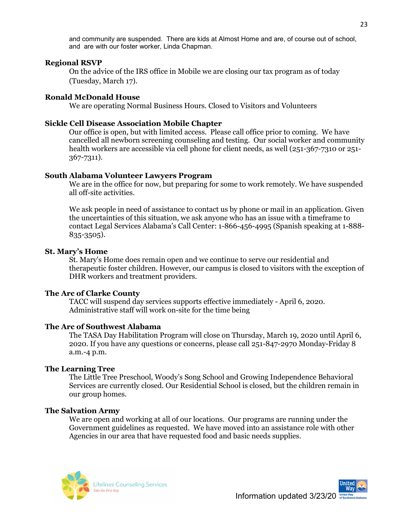and community are suspended. There are kids at Almost Home and are, of course out of school, and are with our foster worker, Linda Chapman.

#### **Regional RSVP**

On the advice of the IRS office in Mobile we are closing our tax program as of today (Tuesday, March 17).

#### **Ronald McDonald House**

We are operating Normal Business Hours. Closed to Visitors and Volunteers

#### **Sickle Cell Disease Association Mobile Chapter**

Our office is open, but with limited access. Please call office prior to coming. We have cancelled all newborn screening counseling and testing. Our social worker and community health workers are accessible via cell phone for client needs, as well (251-367-7310 or 251- 367-7311).

#### **South Alabama Volunteer Lawyers Program**

We are in the office for now, but preparing for some to work remotely. We have suspended all off-site activities.

We ask people in need of assistance to contact us by phone or mail in an application. Given the uncertainties of this situation, we ask anyone who has an issue with a timeframe to contact Legal Services Alabama's Call Center: 1-866-456-4995 (Spanish speaking at 1-888- 835-3505).

#### **St. Mary's Home**

St. Mary's Home does remain open and we continue to serve our residential and therapeutic foster children. However, our campus is closed to visitors with the exception of DHR workers and treatment providers.

#### **The Arc of Clarke County**

TACC will suspend day services supports effective immediately - April 6, 2020. Administrative staff will work on-site for the time being

#### **The Arc of Southwest Alabama**

The TASA Day Habilitation Program will close on Thursday, March 19, 2020 until April 6, 2020. If you have any questions or concerns, please call 251-847-2970 Monday-Friday 8 a.m.-4 p.m.

#### **The Learning Tree**

The Little Tree Preschool, Woody's Song School and Growing Independence Behavioral Services are currently closed. Our Residential School is closed, but the children remain in our group homes.

#### **The Salvation Army**

We are open and working at all of our locations. Our programs are running under the Government guidelines as requested. We have moved into an assistance role with other Agencies in our area that have requested food and basic needs supplies.



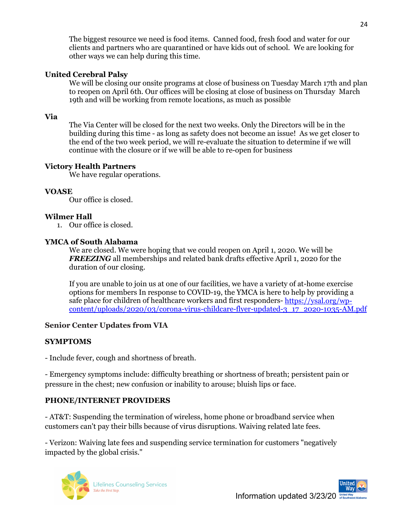The biggest resource we need is food items. Canned food, fresh food and water for our clients and partners who are quarantined or have kids out of school. We are looking for other ways we can help during this time.

#### **United Cerebral Palsy**

We will be closing our onsite programs at close of business on Tuesday March 17th and plan to reopen on April 6th. Our offices will be closing at close of business on Thursday March 19th and will be working from remote locations, as much as possible

#### **Via**

The Via Center will be closed for the next two weeks. Only the Directors will be in the building during this time - as long as safety does not become an issue! As we get closer to the end of the two week period, we will re-evaluate the situation to determine if we will continue with the closure or if we will be able to re-open for business

#### **Victory Health Partners**

We have regular operations.

#### **VOASE**

Our office is closed.

#### **Wilmer Hall**

1. Our office is closed.

#### **YMCA of South Alabama**

We are closed. We were hoping that we could reopen on April 1, 2020. We will be *FREEZING* all memberships and related bank drafts effective April 1, 2020 for the duration of our closing.

If you are unable to join us at one of our facilities, we have a variety of at-home exercise options for members In response to COVID-19, the YMCA is here to help by providing a safe place for children of healthcare workers and first responders- [https://ysal.org/wp](https://ysal.org/wp-content/uploads/2020/03/corona-virus-childcare-flyer-updated-3_17_2020-1035-AM.pdf)[content/uploads/2020/03/corona-virus-childcare-flyer-updated-3\\_17\\_2020-1035-AM.pdf](https://ysal.org/wp-content/uploads/2020/03/corona-virus-childcare-flyer-updated-3_17_2020-1035-AM.pdf)

#### **Senior Center Updates from VIA**

#### **SYMPTOMS**

- Include fever, cough and shortness of breath.

- Emergency symptoms include: difficulty breathing or shortness of breath; persistent pain or pressure in the chest; new confusion or inability to arouse; bluish lips or face.

#### **PHONE/INTERNET PROVIDERS**

- AT&T: Suspending the termination of wireless, home phone or broadband service when customers can't pay their bills because of virus disruptions. Waiving related late fees.

- Verizon: Waiving late fees and suspending service termination for customers "negatively impacted by the global crisis."



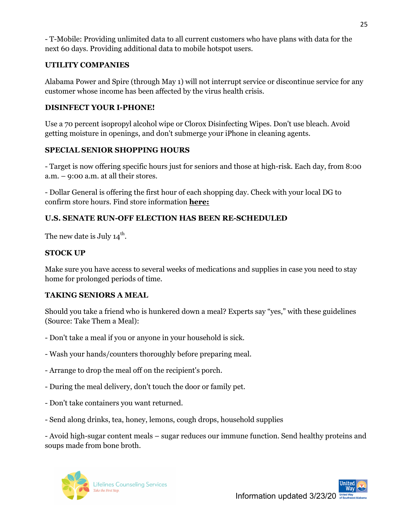- T-Mobile: Providing unlimited data to all current customers who have plans with data for the next 60 days. Providing additional data to mobile hotspot users.

#### **UTILITY COMPANIES**

Alabama Power and Spire (through May 1) will not interrupt service or discontinue service for any customer whose income has been affected by the virus health crisis.

#### **DISINFECT YOUR I-PHONE!**

Use a 70 percent isopropyl alcohol wipe or Clorox Disinfecting Wipes. Don't use bleach. Avoid getting moisture in openings, and don't submerge your iPhone in cleaning agents.

#### **SPECIAL SENIOR SHOPPING HOURS**

- Target is now offering specific hours just for seniors and those at high-risk. Each day, from 8:00 a.m. – 9:00 a.m. at all their stores.

- Dollar General is offering the first hour of each shopping day. Check with your local DG to confirm store hours. Find store information **[here:](http://r20.rs6.net/tn.jsp?f=001anLBWXMzvQaGiA1vf-Duzm6wxE1sgnRkw420KvqUshST64ATfAgGS0AAkfxZy3AKAoyOQY9wau6LLIqY7qWrdF11ChaRbd1ZZ22ou-mobRdmK_f54xQKEtWedmuAK_V9GGn1cRLqRho8GZwofTOX1jzyYH98oX6nURYXi_NekiFDznIPqoulhw==&c=Ym9_mehoJF95kqBtm34KAgYgyyeYM6X_pefI12rkgmBeoF4WbLSOvQ==&ch=_02qwfNe4BoW1U3Y5OP7UjAgkfoENBPZcJmwHVHr2jLGPcjQijhgPA==)**

#### **U.S. SENATE RUN-OFF ELECTION HAS BEEN RE-SCHEDULED**

The new date is July  $14^{\text{th}}$ .

#### **STOCK UP**

Make sure you have access to several weeks of medications and supplies in case you need to stay home for prolonged periods of time.

#### **TAKING SENIORS A MEAL**

Should you take a friend who is hunkered down a meal? Experts say "yes," with these guidelines (Source: Take Them a Meal):

- Don't take a meal if you or anyone in your household is sick.
- Wash your hands/counters thoroughly before preparing meal.
- Arrange to drop the meal off on the recipient's porch.
- During the meal delivery, don't touch the door or family pet.
- Don't take containers you want returned.
- Send along drinks, tea, honey, lemons, cough drops, household supplies

- Avoid high-sugar content meals – sugar reduces our immune function. Send healthy proteins and soups made from bone broth.



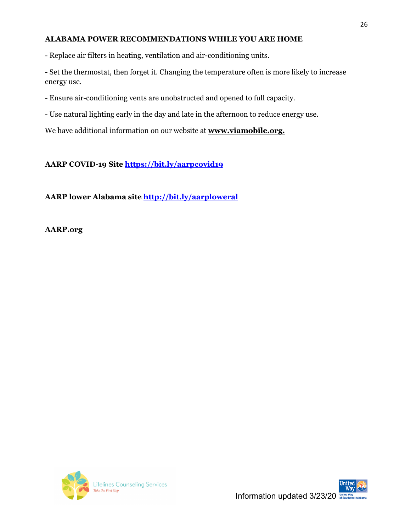#### **ALABAMA POWER RECOMMENDATIONS WHILE YOU ARE HOME**

- Replace air filters in heating, ventilation and air-conditioning units.

- Set the thermostat, then forget it. Changing the temperature often is more likely to increase energy use.

- Ensure air-conditioning vents are unobstructed and opened to full capacity.

- Use natural lighting early in the day and late in the afternoon to reduce energy use.

We have additional information on our website at **[www.viamobile.org.](http://r20.rs6.net/tn.jsp?f=001anLBWXMzvQaGiA1vf-Duzm6wxE1sgnRkw420KvqUshST64ATfAgGSzLQxKg2v0YSUF1nxRosb5Un7wrsEa7lQ_IPOK5E5oJi_mcB63uKYeMw5h71F78VYqiKu9nD_dclD_wcfSdc8u1W_tjNPBRLmQ==&c=Ym9_mehoJF95kqBtm34KAgYgyyeYM6X_pefI12rkgmBeoF4WbLSOvQ==&ch=_02qwfNe4BoW1U3Y5OP7UjAgkfoENBPZcJmwHVHr2jLGPcjQijhgPA==)**

**AARP COVID-19 Site<https://bit.ly/aarpcovid19>**

**AARP lower Alabama site<http://bit.ly/aarploweral>**

**AARP.org**



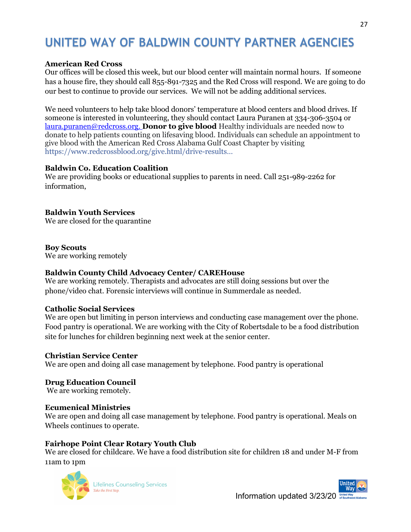# **UNITED WAY OF BALDWIN COUNTY PARTNER AGENCIES**

#### **American Red Cross**

Our offices will be closed this week, but our blood center will maintain normal hours. If someone has a house fire, they should call 855-891-7325 and the Red Cross will respond. We are going to do our best to continue to provide our services. We will not be adding additional services.

We need volunteers to help take blood donors' temperature at blood centers and blood drives. If someone is interested in volunteering, they should contact Laura Puranen at 334-306-3504 or [laura.puranen@redcross.org.](mailto:laura.puranen@redcross.org) **Donor to give blood** Healthy individuals are needed now to donate to help patients counting on lifesaving blood. Individuals can schedule an appointment to give blood with the American Red Cross Alabama Gulf Coast Chapter by visiting [https://www.redcrossblood.org/give.html/drive-results…](https://www.redcrossblood.org/give.html/drive-results?order=DATE&range=10&zipSponsor=36604&fbclid=IwAR099QVbS5uY456aRrdAeM8YUlA6F0uYkjXR25UkxFyWAV19NhMy2gLR1TA)

#### **Baldwin Co. Education Coalition**

We are providing books or educational supplies to parents in need. Call 251-989-2262 for information,

#### **Baldwin Youth Services**

We are closed for the quarantine

**Boy Scouts** We are working remotely

#### **Baldwin County Child Advocacy Center/ CAREHouse**

We are working remotely. Therapists and advocates are still doing sessions but over the phone/video chat. Forensic interviews will continue in Summerdale as needed.

#### **Catholic Social Services**

We are open but limiting in person interviews and conducting case management over the phone. Food pantry is operational. We are working with the City of Robertsdale to be a food distribution site for lunches for children beginning next week at the senior center.

#### **Christian Service Center**

We are open and doing all case management by telephone. Food pantry is operational

#### **Drug Education Council**

We are working remotely.

#### **Ecumenical Ministries**

We are open and doing all case management by telephone. Food pantry is operational. Meals on Wheels continues to operate.

#### **Fairhope Point Clear Rotary Youth Club**

We are closed for childcare. We have a food distribution site for children 18 and under M-F from 11am to 1pm



**Lifelines Counseling Services** Take the First Step.

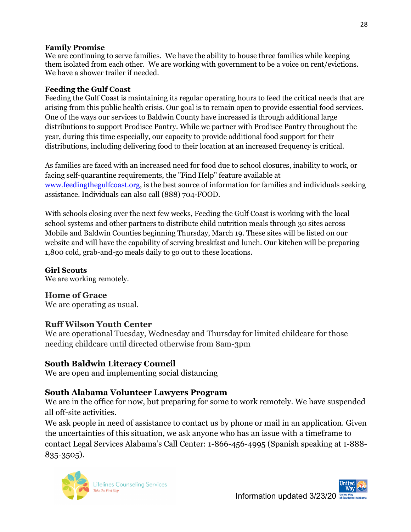#### **Family Promise**

We are continuing to serve families. We have the ability to house three families while keeping them isolated from each other. We are working with government to be a voice on rent/evictions. We have a shower trailer if needed.

#### **Feeding the Gulf Coast**

Feeding the Gulf Coast is maintaining its regular operating hours to feed the critical needs that are arising from this public health crisis. Our goal is to remain open to provide essential food services. One of the ways our services to Baldwin County have increased is through additional large distributions to support Prodisee Pantry. While we partner with Prodisee Pantry throughout the year, during this time especially, our capacity to provide additional food support for their distributions, including delivering food to their location at an increased frequency is critical.

As families are faced with an increased need for food due to school closures, inability to work, or facing self-quarantine requirements, the "Find Help" feature available at [www.feedingthegulfcoast.org,](http://www.feedingthegulfcoast.org/) is the best source of information for families and individuals seeking assistance. Individuals can also call (888) 704-FOOD.

With schools closing over the next few weeks, Feeding the Gulf Coast is working with the local school systems and other partners to distribute child nutrition meals through 30 sites across Mobile and Baldwin Counties beginning Thursday, March 19. These sites will be listed on our website and will have the capability of serving breakfast and lunch. Our kitchen will be preparing 1,800 cold, grab-and-go meals daily to go out to these locations.

### **Girl Scouts**

We are working remotely.

### **Home of Grace**

We are operating as usual.

### **Ruff Wilson Youth Center**

We are operational Tuesday, Wednesday and Thursday for limited childcare for those needing childcare until directed otherwise from 8am-3pm

### **South Baldwin Literacy Council**

We are open and implementing social distancing

### **South Alabama Volunteer Lawyers Program**

We are in the office for now, but preparing for some to work remotely. We have suspended all off-site activities.

We ask people in need of assistance to contact us by phone or mail in an application. Given the uncertainties of this situation, we ask anyone who has an issue with a timeframe to contact Legal Services Alabama's Call Center: 1-866-456-4995 (Spanish speaking at 1-888- 835-3505).



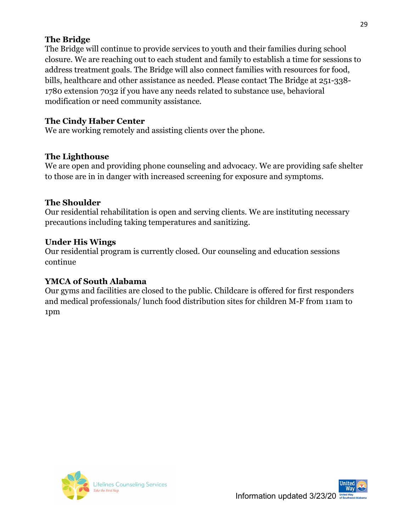#### **The Bridge**

The Bridge will continue to provide services to youth and their families during school closure. We are reaching out to each student and family to establish a time for sessions to address treatment goals. The Bridge will also connect families with resources for food, bills, healthcare and other assistance as needed. Please contact The Bridge at 251-338- 1780 extension 7032 if you have any needs related to substance use, behavioral modification or need community assistance.

#### **The Cindy Haber Center**

We are working remotely and assisting clients over the phone.

#### **The Lighthouse**

We are open and providing phone counseling and advocacy. We are providing safe shelter to those are in in danger with increased screening for exposure and symptoms.

#### **The Shoulder**

Our residential rehabilitation is open and serving clients. We are instituting necessary precautions including taking temperatures and sanitizing.

#### **Under His Wings**

Our residential program is currently closed. Our counseling and education sessions continue

### **YMCA of South Alabama**

Our gyms and facilities are closed to the public. Childcare is offered for first responders and medical professionals/ lunch food distribution sites for children M-F from 11am to 1pm



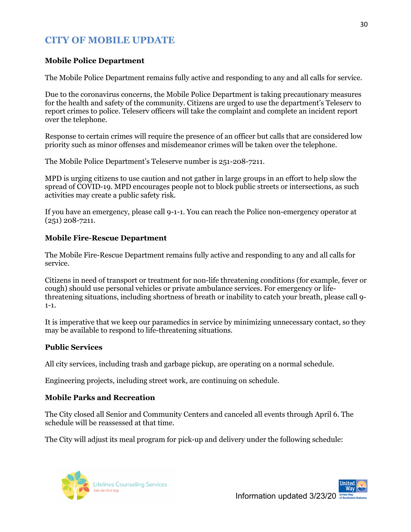### **CITY OF MOBILE UPDATE**

#### **Mobile Police Department**

The Mobile Police Department remains fully active and responding to any and all calls for service.

Due to the coronavirus concerns, the Mobile Police Department is taking precautionary measures for the health and safety of the community. Citizens are urged to use the department's Teleserv to report crimes to police. Teleserv officers will take the complaint and complete an incident report over the telephone.

Response to certain crimes will require the presence of an officer but calls that are considered low priority such as minor offenses and misdemeanor crimes will be taken over the telephone.

The Mobile Police Department's Teleserve number is 251-208-7211.

MPD is urging citizens to use caution and not gather in large groups in an effort to help slow the spread of COVID-19. MPD encourages people not to block public streets or intersections, as such activities may create a public safety risk.

If you have an emergency, please call 9-1-1. You can reach the Police non-emergency operator at (251) 208-7211.

#### **Mobile Fire-Rescue Department**

The Mobile Fire-Rescue Department remains fully active and responding to any and all calls for service.

Citizens in need of transport or treatment for non-life threatening conditions (for example, fever or cough) should use personal vehicles or private ambulance services. For emergency or lifethreatening situations, including shortness of breath or inability to catch your breath, please call 9-  $1 - 1.$ 

It is imperative that we keep our paramedics in service by minimizing unnecessary contact, so they may be available to respond to life-threatening situations.

#### **Public Services**

All city services, including trash and garbage pickup, are operating on a normal schedule.

Engineering projects, including street work, are continuing on schedule.

#### **Mobile Parks and Recreation**

The City closed all Senior and Community Centers and canceled all events through April 6. The schedule will be reassessed at that time.

The City will adjust its meal program for pick-up and delivery under the following schedule:



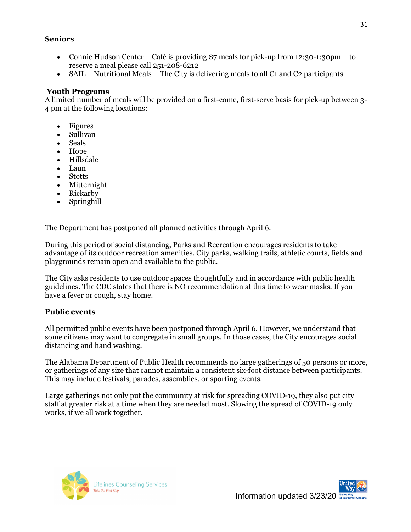#### **Seniors**

- Connie Hudson Center Café is providing \$7 meals for pick-up from 12:30-1:30pm to reserve a meal please call 251-208-6212
- SAIL Nutritional Meals The City is delivering meals to all  $C_1$  and  $C_2$  participants

#### **Youth Programs**

A limited number of meals will be provided on a first-come, first-serve basis for pick-up between 3- 4 pm at the following locations:

- Figures
- Sullivan
- Seals
- Hope
- Hillsdale
- Laun
- **Stotts**
- Mitternight
- Rickarby
- Springhill

The Department has postponed all planned activities through April 6.

During this period of social distancing, Parks and Recreation encourages residents to take advantage of its outdoor recreation amenities. City parks, walking trails, athletic courts, fields and playgrounds remain open and available to the public.

The City asks residents to use outdoor spaces thoughtfully and in accordance with public health guidelines. The CDC states that there is NO recommendation at this time to wear masks. If you have a fever or cough, stay home.

#### **Public events**

All permitted public events have been postponed through April 6. However, we understand that some citizens may want to congregate in small groups. In those cases, the City encourages social distancing and hand washing.

The Alabama Department of Public Health recommends no large gatherings of 50 persons or more, or gatherings of any size that cannot maintain a consistent six-foot distance between participants. This may include festivals, parades, assemblies, or sporting events.

Large gatherings not only put the community at risk for spreading COVID-19, they also put city staff at greater risk at a time when they are needed most. Slowing the spread of COVID-19 only works, if we all work together.



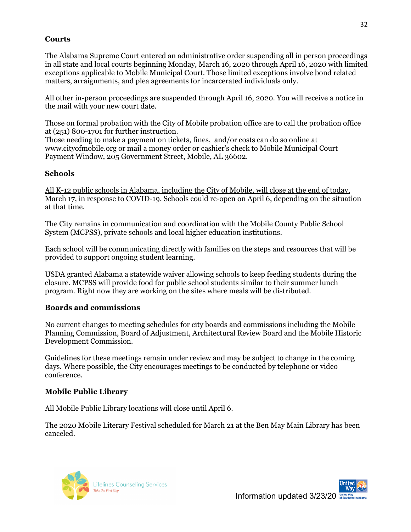#### **Courts**

The Alabama Supreme Court entered an administrative order suspending all in person proceedings in all state and local courts beginning Monday, March 16, 2020 through April 16, 2020 with limited exceptions applicable to Mobile Municipal Court. Those limited exceptions involve bond related matters, arraignments, and plea agreements for incarcerated individuals only.

All other in-person proceedings are suspended through April 16, 2020. You will receive a notice in the mail with your new court date.

Those on formal probation with the City of Mobile probation office are to call the probation office at (251) 800-1701 for further instruction.

Those needing to make a payment on tickets, fines, and/or costs can do so online at www.cityofmobile.org or mail a money order or cashier's check to Mobile Municipal Court Payment Window, 205 Government Street, Mobile, AL 36602.

#### **Schools**

All K-12 public schools in Alabama, including the City of Mobile, will close at the end of today, March 17, in response to COVID-19. Schools could re-open on April 6, depending on the situation at that time.

The City remains in communication and coordination with the Mobile County Public School System (MCPSS), private schools and local higher education institutions.

Each school will be communicating directly with families on the steps and resources that will be provided to support ongoing student learning.

USDA granted Alabama a statewide waiver allowing schools to keep feeding students during the closure. MCPSS will provide food for public school students similar to their summer lunch program. Right now they are working on the sites where meals will be distributed.

#### **Boards and commissions**

No current changes to meeting schedules for city boards and commissions including the Mobile Planning Commission, Board of Adjustment, Architectural Review Board and the Mobile Historic Development Commission.

Guidelines for these meetings remain under review and may be subject to change in the coming days. Where possible, the City encourages meetings to be conducted by telephone or video conference.

#### **Mobile Public Library**

All Mobile Public Library locations will close until April 6.

The 2020 Mobile Literary Festival scheduled for March 21 at the Ben May Main Library has been canceled.



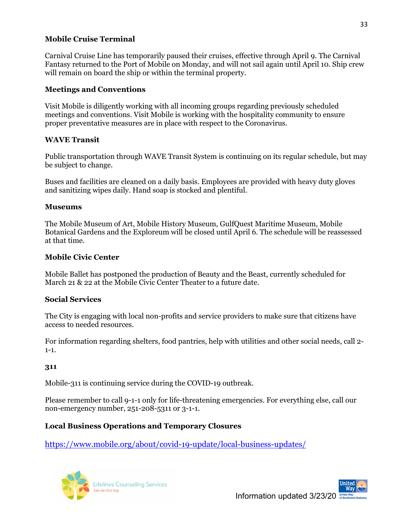#### **Mobile Cruise Terminal**

Carnival Cruise Line has temporarily paused their cruises, effective through April 9. The Carnival Fantasy returned to the Port of Mobile on Monday, and will not sail again until April 10. Ship crew will remain on board the ship or within the terminal property.

#### **Meetings and Conventions**

Visit Mobile is diligently working with all incoming groups regarding previously scheduled meetings and conventions. Visit Mobile is working with the hospitality community to ensure proper preventative measures are in place with respect to the Coronavirus.

#### **WAVE Transit**

Public transportation through WAVE Transit System is continuing on its regular schedule, but may be subject to change.

Buses and facilities are cleaned on a daily basis. Employees are provided with heavy duty gloves and sanitizing wipes daily. Hand soap is stocked and plentiful.

#### **Museums**

The Mobile Museum of Art, Mobile History Museum, GulfQuest Maritime Museum, Mobile Botanical Gardens and the Exploreum will be closed until April 6. The schedule will be reassessed at that time.

#### **Mobile Civic Center**

Mobile Ballet has postponed the production of Beauty and the Beast, currently scheduled for March 21 & 22 at the Mobile Civic Center Theater to a future date.

#### **Social Services**

The City is engaging with local non-profits and service providers to make sure that citizens have access to needed resources.

For information regarding shelters, food pantries, help with utilities and other social needs, call 2- 1-1.

#### **311**

Mobile-311 is continuing service during the COVID-19 outbreak.

Please remember to call 9-1-1 only for life-threatening emergencies. For everything else, call our non-emergency number, 251-208-5311 or 3-1-1.

#### **Local Business Operations and Temporary Closures**

<https://www.mobile.org/about/covid-19-update/local-business-updates/>



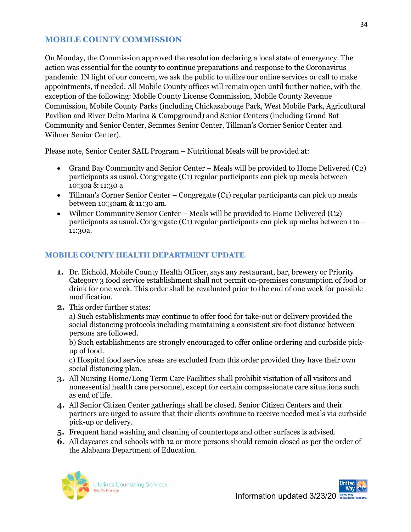#### **MOBILE COUNTY COMMISSION**

On Monday, the Commission approved the resolution declaring a local state of emergency. The action was essential for the county to continue preparations and response to the Coronavirus pandemic. IN light of our concern, we ask the public to utilize our online services or call to make appointments, if needed. All Mobile County offices will remain open until further notice, with the exception of the following: Mobile County License Commission, Mobile County Revenue Commission, Mobile County Parks (including Chickasabouge Park, West Mobile Park, Agricultural Pavilion and River Delta Marina & Campground) and Senior Centers (including Grand Bat Community and Senior Center, Semmes Senior Center, Tillman's Corner Senior Center and Wilmer Senior Center).

Please note, Senior Center SAIL Program – Nutritional Meals will be provided at:

- Grand Bay Community and Senior Center Meals will be provided to Home Delivered (C2) participants as usual. Congregate (C1) regular participants can pick up meals between 10:30a & 11:30 a
- Tillman's Corner Senior Center Congregate (C1) regular participants can pick up meals between 10:30am & 11:30 am.
- Wilmer Community Senior Center Meals will be provided to Home Delivered (C2) participants as usual. Congregate (C1) regular participants can pick up melas between 11a – 11:30a.

#### **MOBILE COUNTY HEALTH DEPARTMENT UPDATE**

- **1.** Dr. Eichold, Mobile County Health Officer, says any restaurant, bar, brewery or Priority Category 3 food service establishment shall not permit on-premises consumption of food or drink for one week. This order shall be revaluated prior to the end of one week for possible modification.
- **2.** This order further states:

a) Such establishments may continue to offer food for take-out or delivery provided the social distancing protocols including maintaining a consistent six-foot distance between persons are followed.

b) Such establishments are strongly encouraged to offer online ordering and curbside pickup of food.

c) Hospital food service areas are excluded from this order provided they have their own social distancing plan.

- **3.** All Nursing Home/Long Term Care Facilities shall prohibit visitation of all visitors and nonessential health care personnel, except for certain compassionate care situations such as end of life.
- **4.** All Senior Citizen Center gatherings shall be closed. Senior Citizen Centers and their partners are urged to assure that their clients continue to receive needed meals via curbside pick-up or delivery.
- **5.** Frequent hand washing and cleaning of countertops and other surfaces is advised.
- **6.** All daycares and schools with 12 or more persons should remain closed as per the order of the Alabama Department of Education.



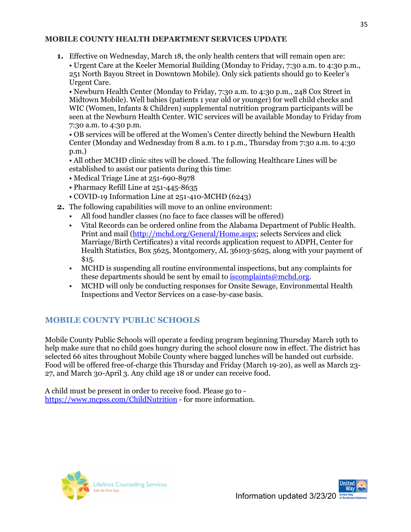#### **MOBILE COUNTY HEALTH DEPARTMENT SERVICES UPDATE**

**1.** Effective on Wednesday, March 18, the only health centers that will remain open are: • Urgent Care at the Keeler Memorial Building (Monday to Friday, 7:30 a.m. to 4:30 p.m., 251 North Bayou Street in Downtown Mobile). Only sick patients should go to Keeler's Urgent Care.

• Newburn Health Center (Monday to Friday, 7:30 a.m. to 4:30 p.m., 248 Cox Street in Midtown Mobile). Well babies (patients 1 year old or younger) for well child checks and WIC (Women, Infants & Children) supplemental nutrition program participants will be seen at the Newburn Health Center. WIC services will be available Monday to Friday from 7:30 a.m. to 4:30 p.m.

• OB services will be offered at the Women's Center directly behind the Newburn Health Center (Monday and Wednesday from 8 a.m. to 1 p.m., Thursday from 7:30 a.m. to 4:30 p.m.)

• All other MCHD clinic sites will be closed. The following Healthcare Lines will be established to assist our patients during this time:

- Medical Triage Line at 251-690-8978
- Pharmacy Refill Line at 251-445-8635
- COVID-19 Information Line at 251-410-MCHD (6243)
- **2.** The following capabilities will move to an online environment:
	- All food handler classes (no face to face classes will be offered)
	- Vital Records can be ordered online from the Alabama Department of Public Health. Print and mail [\(http://mchd.org/General/Home.aspx;](http://mchd.org/General/Home.aspx) selects Services and click Marriage/Birth Certificates) a vital records application request to ADPH, Center for Health Statistics, Box 5625, Montgomery, AL 36103-5625, along with your payment of  $$15.$
	- MCHD is suspending all routine environmental inspections, but any complaints for these departments should be sent by email to [iscomplaints@mchd.org.](mailto:iscomplaints@mchd.org)
	- MCHD will only be conducting responses for Onsite Sewage, Environmental Health Inspections and Vector Services on a case-by-case basis.

#### **MOBILE COUNTY PUBLIC SCHOOLS**

Mobile County Public Schools will operate a feeding program beginning Thursday March 19th to help make sure that no child goes hungry during the school closure now in effect. The district has selected 66 sites throughout Mobile County where bagged lunches will be handed out curbside. Food will be offered free-of-charge this Thursday and Friday (March 19-20), as well as March 23- 27, and March 30-April 3. Any child age 18 or under can receive food.

A child must be present in order to receive food. Please go to <https://www.mcpss.com/ChildNutrition> - for more information.



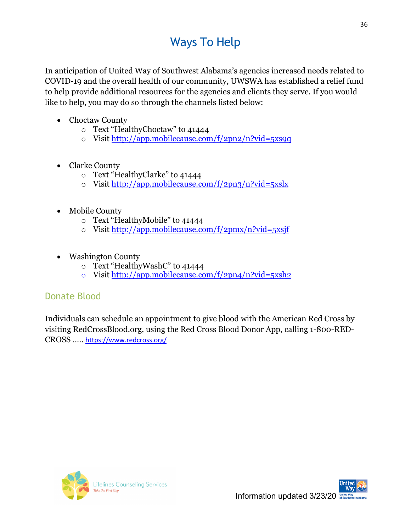# Ways To Help

In anticipation of United Way of Southwest Alabama's agencies increased needs related to COVID-19 and the overall health of our community, UWSWA has established a relief fund to help provide additional resources for the agencies and clients they serve. If you would like to help, you may do so through the channels listed below:

- Choctaw County
	- o Text "HealthyChoctaw" to 41444
	- o Visit<http://app.mobilecause.com/f/2pn2/n?vid=5xs9q>
- Clarke County
	- o Text "HealthyClarke" to 41444
	- o Visit  $\frac{http://app.mobilecause.com/f/2pn3/n?vid=5xslx}{http://app.mobilecause.com/f/2pn3/n?vid=5xslx}$
- Mobile County
	- o Text "HealthyMobile" to 41444
	- o Visit<http://app.mobilecause.com/f/2pmx/n?vid=5xsjf>
- Washington County
	- o Text "HealthyWashC" to 41444
	- o Visit<http://app.mobilecause.com/f/2pn4/n?vid=5xsh2>

### Donate Blood

Individuals can schedule an appointment to give blood with the American Red Cross by visiting RedCrossBlood.org, using the Red Cross Blood Donor App, calling 1-800-RED-CROSS ….. <https://www.redcross.org/>



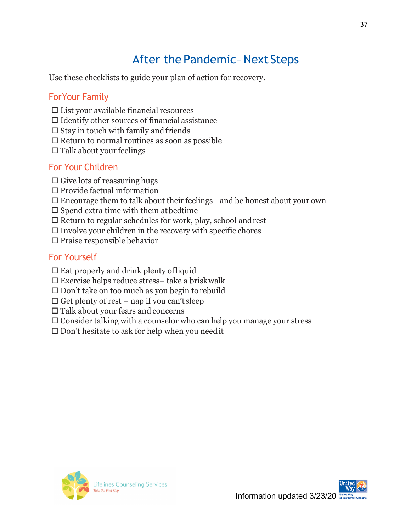# After the Pandemic–Next Steps

Use these checklists to guide your plan of action for recovery.

### ForYour Family

- $\square$  List your available financial resources
- $\Box$  Identify other sources of financial assistance
- $\square$  Stay in touch with family and friends
- $\square$  Return to normal routines as soon as possible
- $\Box$  Talk about your feelings

### For Your Children

- $\Box$  Give lots of reassuring hugs
- $\square$  Provide factual information
- $\square$  Encourage them to talk about their feelings– and be honest about your own
- $\square$  Spend extra time with them at bedtime
- $\square$  Return to regular schedules for work, play, school and rest
- $\Box$  <br> Involve your children in the recovery with specific chores
- $\square$  Praise responsible behavior

### For Yourself

- $\square$  Eat properly and drink plenty of liquid
- $\square$  Exercise helps reduce stress– take a briskwalk
- $\square$  Don't take on too much as you begin to rebuild
- $\Box$  Get plenty of rest nap if you can't sleep
- $\square$  Talk about your fears and concerns
- $\square$  Consider talking with a counselor who can help you manage your stress
- $\square$  Don't hesitate to ask for help when you need it



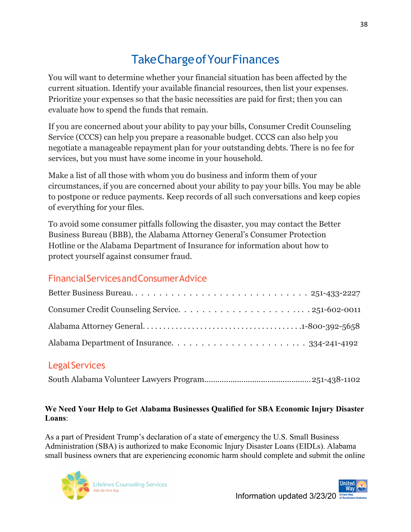# TakeChargeofYourFinances

You will want to determine whether your financial situation has been affected by the current situation. Identify your available financial resources, then list your expenses. Prioritize your expenses so that the basic necessities are paid for first; then you can evaluate how to spend the funds that remain.

If you are concerned about your ability to pay your bills, Consumer Credit Counseling Service (CCCS) can help you prepare a reasonable budget. CCCS can also help you negotiate a manageable repayment plan for your outstanding debts. There is no fee for services, but you must have some income in your household.

Make a list of all those with whom you do business and inform them of your circumstances, if you are concerned about your ability to pay your bills. You may be able to postpone or reduce payments. Keep records of all such conversations and keep copies of everything for your files.

To avoid some consumer pitfalls following the disaster, you may contact the Better Business Bureau (BBB), the Alabama Attorney General's Consumer Protection Hotline or the Alabama Department of Insurance for information about how to protect yourself against consumer fraud.

### FinancialServicesandConsumerAdvice

### Legal Services

South Alabama Volunteer Lawyers Program.................................................251-438-1102

#### **We Need Your Help to Get Alabama Businesses Qualified for SBA Economic Injury Disaster Loans**:

As a part of President Trump's declaration of a state of emergency the U.S. Small Business Administration (SBA) is authorized to make Economic Injury Disaster Loans (EIDLs). Alabama small business owners that are experiencing economic harm should complete and submit the online

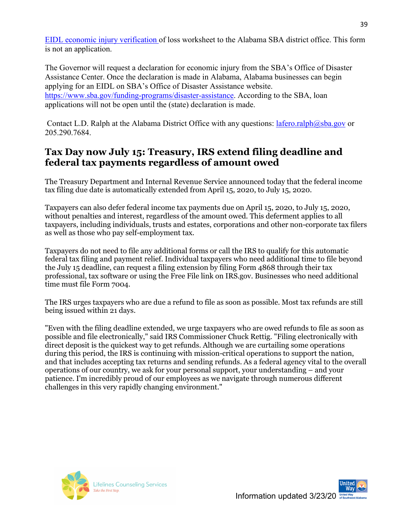[EIDL economic injury verification o](http://clicks.weblinkinternational.com/ls/click?upn=2vLz-2BccvG2sCqUyCoj6YZGJO9IC3LEX9ukQKrC0h5BVvEjKqxmn3shEM1ZjnjT5BIbcN6GYxb0zuGUMTCw0YzXBb3-2FazG8o1pyMkeFMtcW2l5otaB-2FZP-2BWTUK5ZC7UFGkHwi4xcH7DvvsKfE0OuzfDKQZB7TS7h9ApVAxxd5u3NDHztWowcmeI8evmkjqyjD30NR5nfQgKzMl7LZhyfwCaBfUy1Yf6qhE7qhSBKF-2BoT7XKFXTYdTOxoHukiPYcIgyrBBqqSfFhvXHB0S2eWeTg21uGJbpB00RhNyl-2F9souyBMcNhqk48jzaUYkakP6AlzCyLihQYnq4bRW1MSJN8QY8o0OhbKtdgz0IMoUx5fZdEj4MJ40LBTVXZSPgM-2BnCu89vtiQk3yfit6x0XiUWIn-2BJ-2Bekn5sW95fb-2FGs4tId49ItwOkIOOc8pY78psRAenBBauYBnb05G2GSqGtZ6NQZTSUGfhfi1raezEHcGaAaiXxyShX9ltJwvka-2Fwr0-2BQ0ljfarV2Fwk6LFURbImOR7AjsXwpNlqsU1b4FuYa5CWwSelDSPjf2u1kVyjiKxhDMebSwUo8Jw32-2FUcGr6wH-2BdZnZoeHw7q5uF8tjcwgwVaA5pTfj8NnfslHGiHUqoEd2C7rmj8z-2Fjjtl37dWF1-2BCzO3XT0kgANeLHKj3otjHLrvlv2VOLJrs-2FCPvO50iXAMO7DZ4wEHCMSp2m4hTSIPOimnN4vjCd9aMnEqFejfJeab5CA8KKCWEYaS72hEm-2FOyzUKsrbhzstKRgURiC-2Bq96tIsA-2FKokkJmThPnWner7nOzGhwc7a6nvRk-2FY4Xw81UI2-2Fck7doplc2hWhwpNhuE332G9tQwauCF1U1NlJoZp-2BlPMHPvkOh6-2BkckE-2Fm2YCLjQaCvwMzMqAhuEbc2Su6sOqy2F-2Fjyg9kB0DGkkzEWfEFxx-2FLPbWUmGeShUxQEp-2Br7WzopFzSW5U1I070vddSF-2FWCkZt0TEAhXeaeDrJ6aOoVKpj1lGxJQyn2vjeZB-2FezQ5nDwCJMOcUFcup-2F6i80wlz0lu7VbiBbTmIk8xEFhqbDxUpXlYWVpMnZZrQDlSByQpkwD0TLOYEKtKJ0dohMPtbV9UBpmtb8ZeUMH6i0HmLnXnDgCsFIsK7PK1f81sy2B0-2B4BOzIwoGx5Al9G15jc536g68mBm3MXMn9IUNdObur-2FcNGrIKL3XmCQM2HQ7g1MDXr202DJrCrqwe5PlYimMyQxi64wCu93qrC1xj3aQzwi2Iwo2Nb-2BXqLiIOOVgHLIoA6jJ7aMDOTOT5Ib8PkIodY20zqbXgDOpeI893M1kpNlHR2esMxa-2BRV4e2h4kOfht3RNRHPoqmYVzATpQZq4hYRxd0NuRUSneiZoQ7x5evGqCW7Nb1BB8lNxID-2Bf-2FxPJjMVUWTDUozFDOu27J0TwvF-2FWV-2ByMiFg83fCpy15mzO4QH-2BXGomwJf4oWg-2F0JqAbbN5g2xlcgunwKR4StJ5MTbC8zLVp-2BhvYrrnO0BI58qz9ct7uCV8K0OtjCpBIFFJTK8sBj9NwL9kH3CiIEjeaF581JAsTDZSw-2BSdThLI7-2BWYDO3f67vKhCbd1gG5MGocLjX5oDdInAav3DudGNdyRR2BW-2FnGoZEpH-2FEAPTKM0suBk0ZpkrTa4-2FcuZ4tHIRhX7I285vXH_cLKS1FNkBuRioju66YyddyFPCLBXHJ17z-2FdDhBzWdpSq8ytZF0NksJijV6TO274JEDNqFH3iyWksL840IFFXnWhQHu0sOfN9QMPSVO1nVwk4M8C0XG8xaHEcQ30Er-2B36-2BaE44qsQldhCGLTQjojxa-2BofeHYvCs4HxwTneAQc1mkZ7Vg-2FWpFV7MevGwMEW4JyLH94mYsAr7QXeEVmnapzdljaCrYYx9F)f loss worksheet to the Alabama SBA district office. This form is not an application.

The Governor will request a declaration for economic injury from the SBA's Office of Disaster Assistance Center. Once the declaration is made in Alabama, Alabama businesses can begin applying for an EIDL on SBA's Office of Disaster Assistance website. [https://www.sba.gov/funding-programs/disaster-assistance.](https://urldefense.proofpoint.com/v2/url?u=http-3A__clicks.weblinkinternational.com_ls_click-3Fupn-3D2vLz-2D2BccvG2sCqUyCoj6YZGJO9IC3LEX9ukQKrC0h5BVvEjKqxmn3shEM1ZjnjT5BIbcN6GYxb0zuGUMTCw0YzXBb3-2D2FazG8o1pyMkeFMtcW1WClNA92MThQlP6l4Cy-2D2FFLFkKncCU281oV-2D2BtqhS7J0vCqVXs-2D2FPRojbmmE3vz6z4MxpLOmcXOVL-2D2B6JUkU8LPE1yLys2yL9-2D2BK1EsJbHrAGMCMw-2D3D-2D3DZP5J-5FcLKS1FNkBuRioju66YyddyFPCLBXHJ17z-2D2FdDhBzWdpSq8ytZF0NksJijV6TO274JEDNqFH3iyWksL840IFFXnedmiyIqyX7rW12A-2D2Bd-2D2BMmfO3HTy6wDSVdYgcAS-2D2Fr8qHl-2D2B76cxF1KQWflGgB11Rh-2D2FPH1-2D2BRG2qBd8YtaVAeGhXX460grWBpQm5pqTybBFNZcLovwbr19Sa4fK3l14xURqesj1GF39q5zm3BL9xbmq9v5k-2D3D&d=DwMFAg&c=837eUSHCBWYGMkDmn2bN3Q&r=Crmw5tashVQNd1vfkrJaXZoKy-k_mvAp5A_98qHWLN4&m=KgFNvsraSdIKv6dM6HwBkk0y7BUWHolw194YkxLfsLg&s=ApHx0KrGJk8niJfJeNcBNFrm7MvSAvrmo8Y6Oxdm64o&e=) According to the SBA, loan applications will not be open until the (state) declaration is made.

Contact L.D. Ralph at the Alabama District Office with any questions:  $l$ afero.ralph $@$ sba.gov or 205.290.7684.

### **Tax Day now July 15: Treasury, IRS extend filing deadline and federal tax payments regardless of amount owed**

The Treasury Department and Internal Revenue Service announced today that the federal income tax filing due date is automatically extended from April 15, 2020, to July 15, 2020.

Taxpayers can also defer federal income tax payments due on April 15, 2020, to July 15, 2020, without penalties and interest, regardless of the amount owed. This deferment applies to all taxpayers, including individuals, trusts and estates, corporations and other non-corporate tax filers as well as those who pay self-employment tax.

Taxpayers do not need to file any additional forms or call the IRS to qualify for this automatic federal tax filing and payment relief. Individual taxpayers who need additional time to file beyond the July 15 deadline, can request a filing extension by filing Form 4868 through their tax professional, tax software or using the Free File link on IRS.gov. Businesses who need additional time must file Form 7004.

The IRS urges taxpayers who are due a refund to file as soon as possible. Most tax refunds are still being issued within 21 days.

"Even with the filing deadline extended, we urge taxpayers who are owed refunds to file as soon as possible and file electronically," said IRS Commissioner Chuck Rettig. "Filing electronically with direct deposit is the quickest way to get refunds. Although we are curtailing some operations during this period, the IRS is continuing with mission-critical operations to support the nation, and that includes accepting tax returns and sending refunds. As a federal agency vital to the overall operations of our country, we ask for your personal support, your understanding – and your patience. I'm incredibly proud of our employees as we navigate through numerous different challenges in this very rapidly changing environment."